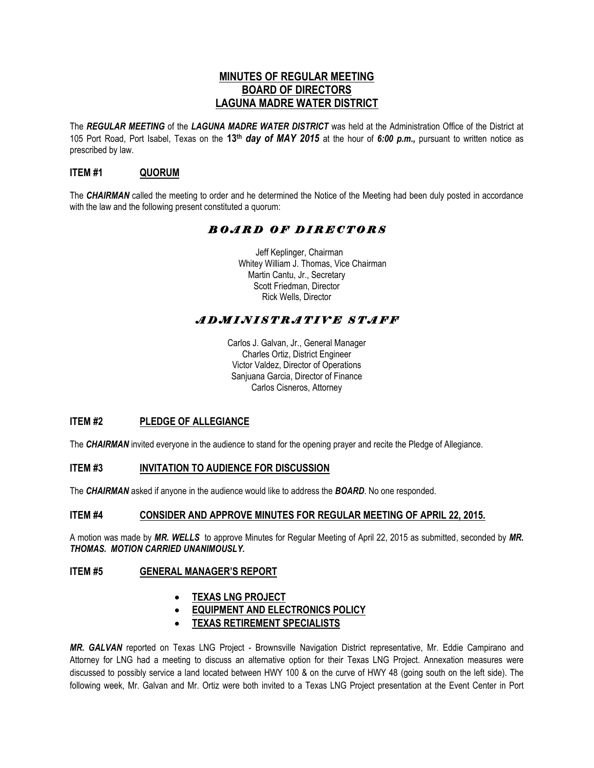## **MINUTES OF REGULAR MEETING BOARD OF DIRECTORS LAGUNA MADRE WATER DISTRICT**

The *REGULAR MEETING* of the *LAGUNA MADRE WATER DISTRICT* was held at the Administration Office of the District at 105 Port Road, Port Isabel, Texas on the **13th** *day of MAY 2015* at the hour of *6:00 p.m.,* pursuant to written notice as prescribed by law.

## **ITEM #1 QUORUM**

The *CHAIRMAN* called the meeting to order and he determined the Notice of the Meeting had been duly posted in accordance with the law and the following present constituted a quorum:

# *B O A R D O F D I R E C T O R S*

 Jeff Keplinger, Chairman Whitey William J. Thomas, Vice Chairman Martin Cantu, Jr., Secretary Scott Friedman, Director Rick Wells, Director

# *A D M I N I S T R A T I V E S T A F F*

Carlos J. Galvan, Jr., General Manager Charles Ortiz, District Engineer Victor Valdez, Director of Operations Sanjuana Garcia, Director of Finance Carlos Cisneros, Attorney

## **ITEM #2 PLEDGE OF ALLEGIANCE**

The *CHAIRMAN* invited everyone in the audience to stand for the opening prayer and recite the Pledge of Allegiance.

## **ITEM #3 INVITATION TO AUDIENCE FOR DISCUSSION**

The *CHAIRMAN* asked if anyone in the audience would like to address the *BOARD*. No one responded.

## **ITEM #4 CONSIDER AND APPROVE MINUTES FOR REGULAR MEETING OF APRIL 22, 2015.**

A motion was made by *MR. WELLS* to approve Minutes for Regular Meeting of April 22, 2015 as submitted, seconded by *MR. THOMAS. MOTION CARRIED UNANIMOUSLY.* 

#### **ITEM #5 GENERAL MANAGER'S REPORT**

## **TEXAS LNG PROJECT**

- **EQUIPMENT AND ELECTRONICS POLICY**
- **TEXAS RETIREMENT SPECIALISTS**

*MR. GALVAN* reported on Texas LNG Project - Brownsville Navigation District representative, Mr. Eddie Campirano and Attorney for LNG had a meeting to discuss an alternative option for their Texas LNG Project. Annexation measures were discussed to possibly service a land located between HWY 100 & on the curve of HWY 48 (going south on the left side). The following week, Mr. Galvan and Mr. Ortiz were both invited to a Texas LNG Project presentation at the Event Center in Port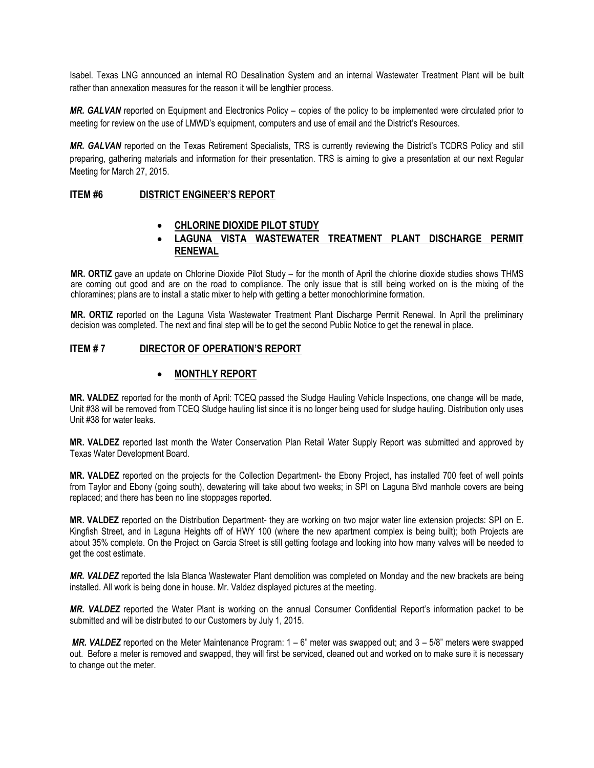Isabel. Texas LNG announced an internal RO Desalination System and an internal Wastewater Treatment Plant will be built rather than annexation measures for the reason it will be lengthier process.

*MR. GALVAN* reported on Equipment and Electronics Policy – copies of the policy to be implemented were circulated prior to meeting for review on the use of LMWD's equipment, computers and use of email and the District's Resources.

*MR. GALVAN* reported on the Texas Retirement Specialists, TRS is currently reviewing the District's TCDRS Policy and still preparing, gathering materials and information for their presentation. TRS is aiming to give a presentation at our next Regular Meeting for March 27, 2015.

#### **ITEM #6 DISTRICT ENGINEER'S REPORT**

#### **CHLORINE DIOXIDE PILOT STUDY**

## **LAGUNA VISTA WASTEWATER TREATMENT PLANT DISCHARGE PERMIT RENEWAL**

**MR. ORTIZ** gave an update on Chlorine Dioxide Pilot Study – for the month of April the chlorine dioxide studies shows THMS are coming out good and are on the road to compliance. The only issue that is still being worked on is the mixing of the chloramines; plans are to install a static mixer to help with getting a better monochlorimine formation.

**MR. ORTIZ** reported on the Laguna Vista Wastewater Treatment Plant Discharge Permit Renewal. In April the preliminary decision was completed. The next and final step will be to get the second Public Notice to get the renewal in place.

## **ITEM # 7 DIRECTOR OF OPERATION'S REPORT**

#### **MONTHLY REPORT**

**MR. VALDEZ** reported for the month of April: TCEQ passed the Sludge Hauling Vehicle Inspections, one change will be made, Unit #38 will be removed from TCEQ Sludge hauling list since it is no longer being used for sludge hauling. Distribution only uses Unit #38 for water leaks.

**MR. VALDEZ** reported last month the Water Conservation Plan Retail Water Supply Report was submitted and approved by Texas Water Development Board.

**MR. VALDEZ** reported on the projects for the Collection Department- the Ebony Project, has installed 700 feet of well points from Taylor and Ebony (going south), dewatering will take about two weeks; in SPI on Laguna Blvd manhole covers are being replaced; and there has been no line stoppages reported.

**MR. VALDEZ** reported on the Distribution Department- they are working on two major water line extension projects: SPI on E. Kingfish Street, and in Laguna Heights off of HWY 100 (where the new apartment complex is being built); both Projects are about 35% complete. On the Project on Garcia Street is still getting footage and looking into how many valves will be needed to get the cost estimate.

*MR. VALDEZ* reported the Isla Blanca Wastewater Plant demolition was completed on Monday and the new brackets are being installed. All work is being done in house. Mr. Valdez displayed pictures at the meeting.

*MR. VALDEZ* reported the Water Plant is working on the annual Consumer Confidential Report's information packet to be submitted and will be distributed to our Customers by July 1, 2015.

*MR. VALDEZ* reported on the Meter Maintenance Program: 1 – 6" meter was swapped out; and 3 – 5/8" meters were swapped out. Before a meter is removed and swapped, they will first be serviced, cleaned out and worked on to make sure it is necessary to change out the meter.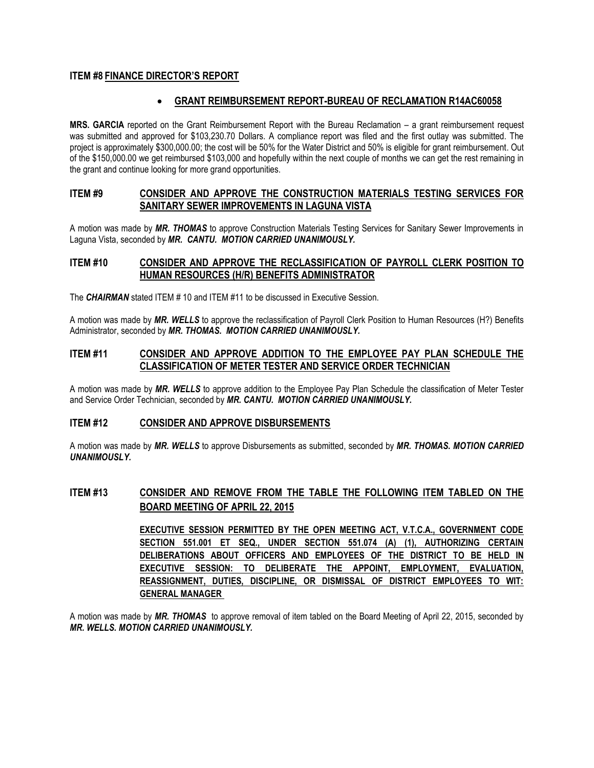## **ITEM #8 FINANCE DIRECTOR'S REPORT**

## **GRANT REIMBURSEMENT REPORT-BUREAU OF RECLAMATION R14AC60058**

**MRS. GARCIA** reported on the Grant Reimbursement Report with the Bureau Reclamation – a grant reimbursement request was submitted and approved for \$103,230.70 Dollars. A compliance report was filed and the first outlay was submitted. The project is approximately \$300,000.00; the cost will be 50% for the Water District and 50% is eligible for grant reimbursement. Out of the \$150,000.00 we get reimbursed \$103,000 and hopefully within the next couple of months we can get the rest remaining in the grant and continue looking for more grand opportunities.

#### **ITEM #9 CONSIDER AND APPROVE THE CONSTRUCTION MATERIALS TESTING SERVICES FOR SANITARY SEWER IMPROVEMENTS IN LAGUNA VISTA**

A motion was made by *MR. THOMAS* to approve Construction Materials Testing Services for Sanitary Sewer Improvements in Laguna Vista, seconded by *MR. CANTU. MOTION CARRIED UNANIMOUSLY.* 

## **ITEM #10 CONSIDER AND APPROVE THE RECLASSIFICATION OF PAYROLL CLERK POSITION TO HUMAN RESOURCES (H/R) BENEFITS ADMINISTRATOR**

The **CHAIRMAN** stated ITEM # 10 and ITEM #11 to be discussed in Executive Session.

A motion was made by *MR. WELLS* to approve the reclassification of Payroll Clerk Position to Human Resources (H?) Benefits Administrator, seconded by *MR. THOMAS. MOTION CARRIED UNANIMOUSLY.* 

## **ITEM #11 CONSIDER AND APPROVE ADDITION TO THE EMPLOYEE PAY PLAN SCHEDULE THE CLASSIFICATION OF METER TESTER AND SERVICE ORDER TECHNICIAN**

A motion was made by *MR. WELLS* to approve addition to the Employee Pay Plan Schedule the classification of Meter Tester and Service Order Technician, seconded by *MR. CANTU. MOTION CARRIED UNANIMOUSLY.* 

## **ITEM #12 CONSIDER AND APPROVE DISBURSEMENTS**

A motion was made by *MR. WELLS* to approve Disbursements as submitted, seconded by *MR. THOMAS. MOTION CARRIED UNANIMOUSLY.*

## **ITEM #13 CONSIDER AND REMOVE FROM THE TABLE THE FOLLOWING ITEM TABLED ON THE BOARD MEETING OF APRIL 22, 2015**

**EXECUTIVE SESSION PERMITTED BY THE OPEN MEETING ACT, V.T.C.A., GOVERNMENT CODE SECTION 551.001 ET SEQ., UNDER SECTION 551.074 (A) (1), AUTHORIZING CERTAIN DELIBERATIONS ABOUT OFFICERS AND EMPLOYEES OF THE DISTRICT TO BE HELD IN EXECUTIVE SESSION: TO DELIBERATE THE APPOINT, EMPLOYMENT, EVALUATION, REASSIGNMENT, DUTIES, DISCIPLINE, OR DISMISSAL OF DISTRICT EMPLOYEES TO WIT: GENERAL MANAGER**

A motion was made by *MR. THOMAS* to approve removal of item tabled on the Board Meeting of April 22, 2015, seconded by *MR. WELLS. MOTION CARRIED UNANIMOUSLY.*